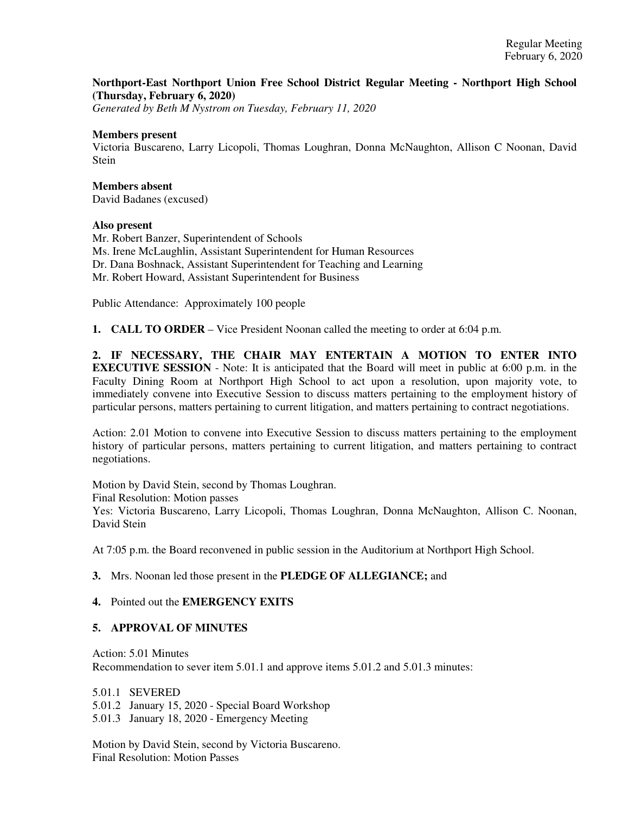## **Northport-East Northport Union Free School District Regular Meeting - Northport High School (Thursday, February 6, 2020)**

*Generated by Beth M Nystrom on Tuesday, February 11, 2020*

#### **Members present**

Victoria Buscareno, Larry Licopoli, Thomas Loughran, Donna McNaughton, Allison C Noonan, David **Stein** 

# **Members absent**

David Badanes (excused)

## **Also present**

Mr. Robert Banzer, Superintendent of Schools Ms. Irene McLaughlin, Assistant Superintendent for Human Resources Dr. Dana Boshnack, Assistant Superintendent for Teaching and Learning Mr. Robert Howard, Assistant Superintendent for Business

Public Attendance: Approximately 100 people

**1. CALL TO ORDER** – Vice President Noonan called the meeting to order at 6:04 p.m.

**2. IF NECESSARY, THE CHAIR MAY ENTERTAIN A MOTION TO ENTER INTO EXECUTIVE SESSION** - Note: It is anticipated that the Board will meet in public at 6:00 p.m. in the Faculty Dining Room at Northport High School to act upon a resolution, upon majority vote, to immediately convene into Executive Session to discuss matters pertaining to the employment history of particular persons, matters pertaining to current litigation, and matters pertaining to contract negotiations.

Action: 2.01 Motion to convene into Executive Session to discuss matters pertaining to the employment history of particular persons, matters pertaining to current litigation, and matters pertaining to contract negotiations.

Motion by David Stein, second by Thomas Loughran. Final Resolution: Motion passes Yes: Victoria Buscareno, Larry Licopoli, Thomas Loughran, Donna McNaughton, Allison C. Noonan, David Stein

At 7:05 p.m. the Board reconvened in public session in the Auditorium at Northport High School.

## **3.** Mrs. Noonan led those present in the **PLEDGE OF ALLEGIANCE;** and

#### **4.** Pointed out the **EMERGENCY EXITS**

## **5. APPROVAL OF MINUTES**

Action: 5.01 Minutes

Recommendation to sever item 5.01.1 and approve items 5.01.2 and 5.01.3 minutes:

5.01.1 SEVERED

5.01.2 January 15, 2020 - Special Board Workshop

5.01.3 January 18, 2020 - Emergency Meeting

Motion by David Stein, second by Victoria Buscareno. Final Resolution: Motion Passes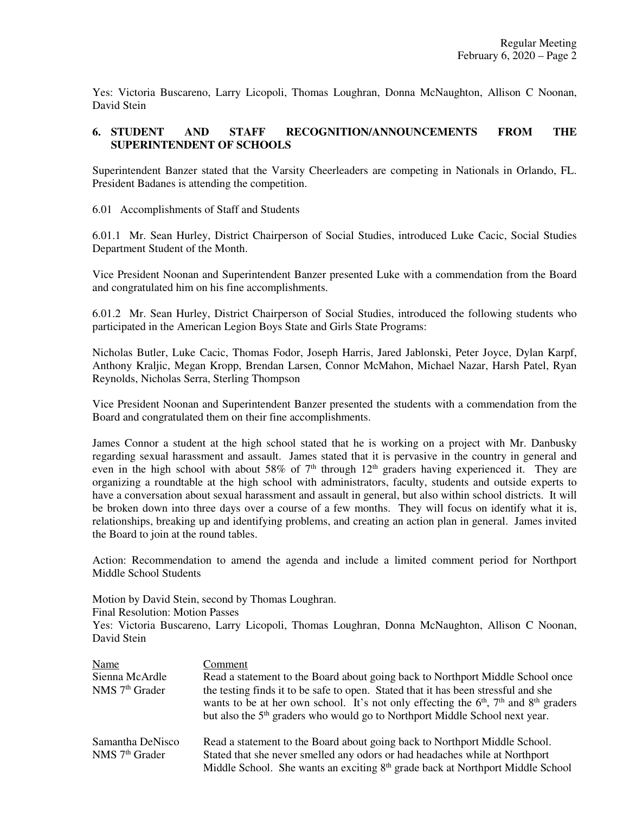Yes: Victoria Buscareno, Larry Licopoli, Thomas Loughran, Donna McNaughton, Allison C Noonan, David Stein

# **6. STUDENT AND STAFF RECOGNITION/ANNOUNCEMENTS FROM THE SUPERINTENDENT OF SCHOOLS**

Superintendent Banzer stated that the Varsity Cheerleaders are competing in Nationals in Orlando, FL. President Badanes is attending the competition.

6.01 Accomplishments of Staff and Students

6.01.1 Mr. Sean Hurley, District Chairperson of Social Studies, introduced Luke Cacic, Social Studies Department Student of the Month.

Vice President Noonan and Superintendent Banzer presented Luke with a commendation from the Board and congratulated him on his fine accomplishments.

6.01.2 Mr. Sean Hurley, District Chairperson of Social Studies, introduced the following students who participated in the American Legion Boys State and Girls State Programs:

Nicholas Butler, Luke Cacic, Thomas Fodor, Joseph Harris, Jared Jablonski, Peter Joyce, Dylan Karpf, Anthony Kraljic, Megan Kropp, Brendan Larsen, Connor McMahon, Michael Nazar, Harsh Patel, Ryan Reynolds, Nicholas Serra, Sterling Thompson

Vice President Noonan and Superintendent Banzer presented the students with a commendation from the Board and congratulated them on their fine accomplishments.

James Connor a student at the high school stated that he is working on a project with Mr. Danbusky regarding sexual harassment and assault. James stated that it is pervasive in the country in general and even in the high school with about 58% of  $7<sup>th</sup>$  through  $12<sup>th</sup>$  graders having experienced it. They are organizing a roundtable at the high school with administrators, faculty, students and outside experts to have a conversation about sexual harassment and assault in general, but also within school districts. It will be broken down into three days over a course of a few months. They will focus on identify what it is, relationships, breaking up and identifying problems, and creating an action plan in general. James invited the Board to join at the round tables.

Action: Recommendation to amend the agenda and include a limited comment period for Northport Middle School Students

Motion by David Stein, second by Thomas Loughran. Final Resolution: Motion Passes Yes: Victoria Buscareno, Larry Licopoli, Thomas Loughran, Donna McNaughton, Allison C Noonan, David Stein

| Name                                   | Comment                                                                                                                                                                                                                                                                     |
|----------------------------------------|-----------------------------------------------------------------------------------------------------------------------------------------------------------------------------------------------------------------------------------------------------------------------------|
| Sienna McArdle                         | Read a statement to the Board about going back to Northport Middle School once                                                                                                                                                                                              |
| NMS 7 <sup>th</sup> Grader             | the testing finds it to be safe to open. Stated that it has been stressful and she<br>wants to be at her own school. It's not only effecting the $6th$ , $7th$ and $8th$ graders<br>but also the 5 <sup>th</sup> graders who would go to Northport Middle School next year. |
| Samantha DeNisco<br>$NMS$ $7th$ Grader | Read a statement to the Board about going back to Northport Middle School.<br>Stated that she never smelled any odors or had headaches while at Northport<br>Middle School. She wants an exciting 8 <sup>th</sup> grade back at Northport Middle School                     |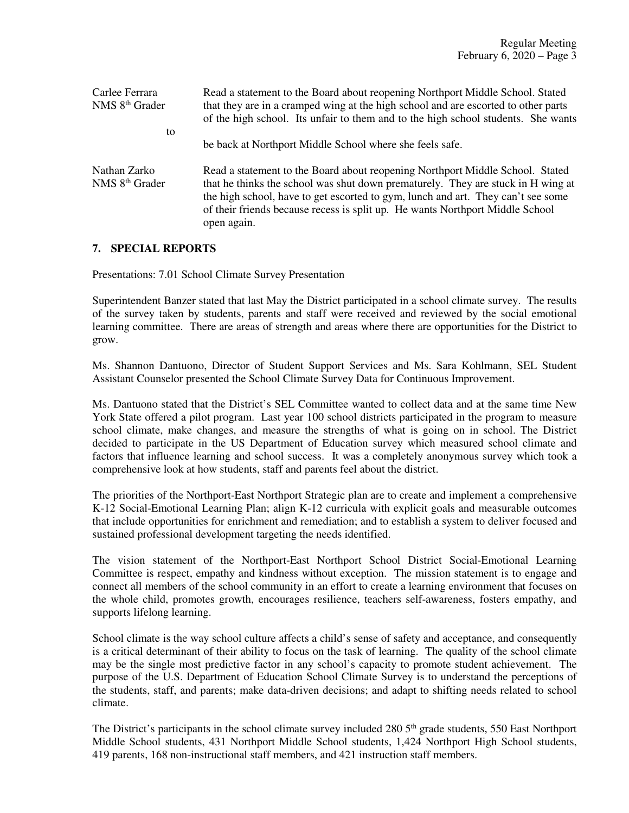| Carlee Ferrara<br>NMS 8 <sup>th</sup> Grader | Read a statement to the Board about reopening Northport Middle School. Stated<br>that they are in a cramped wing at the high school and are escorted to other parts<br>of the high school. Its unfair to them and to the high school students. She wants                                                                                              |
|----------------------------------------------|-------------------------------------------------------------------------------------------------------------------------------------------------------------------------------------------------------------------------------------------------------------------------------------------------------------------------------------------------------|
| to                                           |                                                                                                                                                                                                                                                                                                                                                       |
|                                              | be back at Northport Middle School where she feels safe.                                                                                                                                                                                                                                                                                              |
| Nathan Zarko<br>NMS 8 <sup>th</sup> Grader   | Read a statement to the Board about reopening Northport Middle School. Stated<br>that he thinks the school was shut down prematurely. They are stuck in H wing at<br>the high school, have to get escorted to gym, lunch and art. They can't see some<br>of their friends because recess is split up. He wants Northport Middle School<br>open again. |

# **7. SPECIAL REPORTS**

Presentations: 7.01 School Climate Survey Presentation

Superintendent Banzer stated that last May the District participated in a school climate survey. The results of the survey taken by students, parents and staff were received and reviewed by the social emotional learning committee. There are areas of strength and areas where there are opportunities for the District to grow.

Ms. Shannon Dantuono, Director of Student Support Services and Ms. Sara Kohlmann, SEL Student Assistant Counselor presented the School Climate Survey Data for Continuous Improvement.

Ms. Dantuono stated that the District's SEL Committee wanted to collect data and at the same time New York State offered a pilot program. Last year 100 school districts participated in the program to measure school climate, make changes, and measure the strengths of what is going on in school. The District decided to participate in the US Department of Education survey which measured school climate and factors that influence learning and school success. It was a completely anonymous survey which took a comprehensive look at how students, staff and parents feel about the district.

The priorities of the Northport-East Northport Strategic plan are to create and implement a comprehensive K-12 Social-Emotional Learning Plan; align K-12 curricula with explicit goals and measurable outcomes that include opportunities for enrichment and remediation; and to establish a system to deliver focused and sustained professional development targeting the needs identified.

The vision statement of the Northport-East Northport School District Social-Emotional Learning Committee is respect, empathy and kindness without exception. The mission statement is to engage and connect all members of the school community in an effort to create a learning environment that focuses on the whole child, promotes growth, encourages resilience, teachers self-awareness, fosters empathy, and supports lifelong learning.

School climate is the way school culture affects a child's sense of safety and acceptance, and consequently is a critical determinant of their ability to focus on the task of learning. The quality of the school climate may be the single most predictive factor in any school's capacity to promote student achievement. The purpose of the U.S. Department of Education School Climate Survey is to understand the perceptions of the students, staff, and parents; make data-driven decisions; and adapt to shifting needs related to school climate.

The District's participants in the school climate survey included 280 5<sup>th</sup> grade students, 550 East Northport Middle School students, 431 Northport Middle School students, 1,424 Northport High School students, 419 parents, 168 non-instructional staff members, and 421 instruction staff members.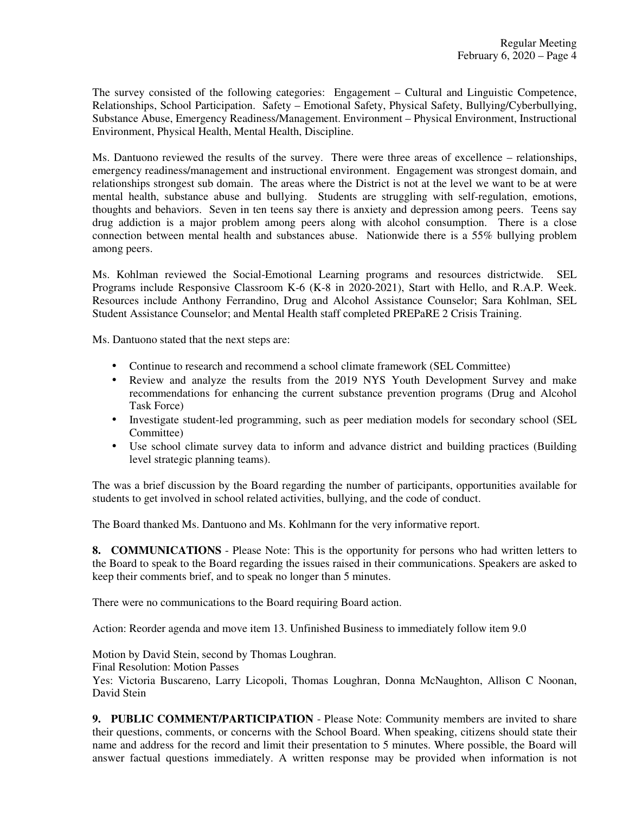The survey consisted of the following categories: Engagement – Cultural and Linguistic Competence, Relationships, School Participation. Safety – Emotional Safety, Physical Safety, Bullying/Cyberbullying, Substance Abuse, Emergency Readiness/Management. Environment – Physical Environment, Instructional Environment, Physical Health, Mental Health, Discipline.

Ms. Dantuono reviewed the results of the survey. There were three areas of excellence – relationships, emergency readiness/management and instructional environment. Engagement was strongest domain, and relationships strongest sub domain. The areas where the District is not at the level we want to be at were mental health, substance abuse and bullying. Students are struggling with self-regulation, emotions, thoughts and behaviors. Seven in ten teens say there is anxiety and depression among peers. Teens say drug addiction is a major problem among peers along with alcohol consumption. There is a close connection between mental health and substances abuse. Nationwide there is a 55% bullying problem among peers.

Ms. Kohlman reviewed the Social-Emotional Learning programs and resources districtwide. SEL Programs include Responsive Classroom K-6 (K-8 in 2020-2021), Start with Hello, and R.A.P. Week. Resources include Anthony Ferrandino, Drug and Alcohol Assistance Counselor; Sara Kohlman, SEL Student Assistance Counselor; and Mental Health staff completed PREPaRE 2 Crisis Training.

Ms. Dantuono stated that the next steps are:

- Continue to research and recommend a school climate framework (SEL Committee)
- Review and analyze the results from the 2019 NYS Youth Development Survey and make recommendations for enhancing the current substance prevention programs (Drug and Alcohol Task Force)
- Investigate student-led programming, such as peer mediation models for secondary school (SEL Committee)
- Use school climate survey data to inform and advance district and building practices (Building level strategic planning teams).

The was a brief discussion by the Board regarding the number of participants, opportunities available for students to get involved in school related activities, bullying, and the code of conduct.

The Board thanked Ms. Dantuono and Ms. Kohlmann for the very informative report.

**8. COMMUNICATIONS** - Please Note: This is the opportunity for persons who had written letters to the Board to speak to the Board regarding the issues raised in their communications. Speakers are asked to keep their comments brief, and to speak no longer than 5 minutes.

There were no communications to the Board requiring Board action.

Action: Reorder agenda and move item 13. Unfinished Business to immediately follow item 9.0

Motion by David Stein, second by Thomas Loughran.

Final Resolution: Motion Passes

Yes: Victoria Buscareno, Larry Licopoli, Thomas Loughran, Donna McNaughton, Allison C Noonan, David Stein

**9. PUBLIC COMMENT/PARTICIPATION** - Please Note: Community members are invited to share their questions, comments, or concerns with the School Board. When speaking, citizens should state their name and address for the record and limit their presentation to 5 minutes. Where possible, the Board will answer factual questions immediately. A written response may be provided when information is not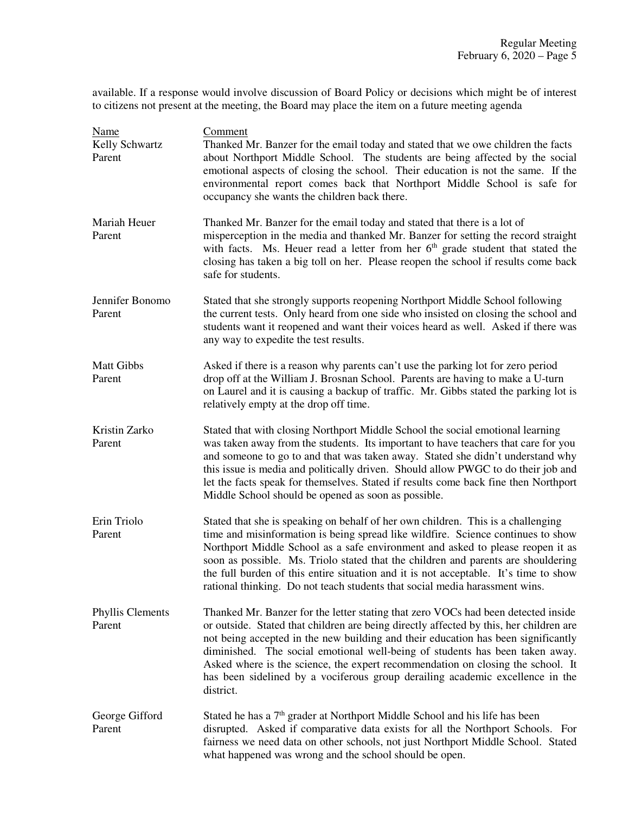available. If a response would involve discussion of Board Policy or decisions which might be of interest to citizens not present at the meeting, the Board may place the item on a future meeting agenda

| <b>Name</b><br>Kelly Schwartz<br>Parent | Comment<br>Thanked Mr. Banzer for the email today and stated that we owe children the facts<br>about Northport Middle School. The students are being affected by the social<br>emotional aspects of closing the school. Their education is not the same. If the<br>environmental report comes back that Northport Middle School is safe for<br>occupancy she wants the children back there.                                                                                                                                       |
|-----------------------------------------|-----------------------------------------------------------------------------------------------------------------------------------------------------------------------------------------------------------------------------------------------------------------------------------------------------------------------------------------------------------------------------------------------------------------------------------------------------------------------------------------------------------------------------------|
| Mariah Heuer<br>Parent                  | Thanked Mr. Banzer for the email today and stated that there is a lot of<br>misperception in the media and thanked Mr. Banzer for setting the record straight<br>with facts. Ms. Heuer read a letter from her 6 <sup>th</sup> grade student that stated the<br>closing has taken a big toll on her. Please reopen the school if results come back<br>safe for students.                                                                                                                                                           |
| Jennifer Bonomo<br>Parent               | Stated that she strongly supports reopening Northport Middle School following<br>the current tests. Only heard from one side who insisted on closing the school and<br>students want it reopened and want their voices heard as well. Asked if there was<br>any way to expedite the test results.                                                                                                                                                                                                                                 |
| <b>Matt Gibbs</b><br>Parent             | Asked if there is a reason why parents can't use the parking lot for zero period<br>drop off at the William J. Brosnan School. Parents are having to make a U-turn<br>on Laurel and it is causing a backup of traffic. Mr. Gibbs stated the parking lot is<br>relatively empty at the drop off time.                                                                                                                                                                                                                              |
| Kristin Zarko<br>Parent                 | Stated that with closing Northport Middle School the social emotional learning<br>was taken away from the students. Its important to have teachers that care for you<br>and someone to go to and that was taken away. Stated she didn't understand why<br>this issue is media and politically driven. Should allow PWGC to do their job and<br>let the facts speak for themselves. Stated if results come back fine then Northport<br>Middle School should be opened as soon as possible.                                         |
| Erin Triolo<br>Parent                   | Stated that she is speaking on behalf of her own children. This is a challenging<br>time and misinformation is being spread like wildfire. Science continues to show<br>Northport Middle School as a safe environment and asked to please reopen it as<br>soon as possible. Ms. Triolo stated that the children and parents are shouldering<br>the full burden of this entire situation and it is not acceptable. It's time to show<br>rational thinking. Do not teach students that social media harassment wins.                |
| <b>Phyllis Clements</b><br>Parent       | Thanked Mr. Banzer for the letter stating that zero VOCs had been detected inside<br>or outside. Stated that children are being directly affected by this, her children are<br>not being accepted in the new building and their education has been significantly<br>diminished. The social emotional well-being of students has been taken away.<br>Asked where is the science, the expert recommendation on closing the school. It<br>has been sidelined by a vociferous group derailing academic excellence in the<br>district. |
| George Gifford<br>Parent                | Stated he has a 7 <sup>th</sup> grader at Northport Middle School and his life has been<br>disrupted. Asked if comparative data exists for all the Northport Schools. For<br>fairness we need data on other schools, not just Northport Middle School. Stated<br>what happened was wrong and the school should be open.                                                                                                                                                                                                           |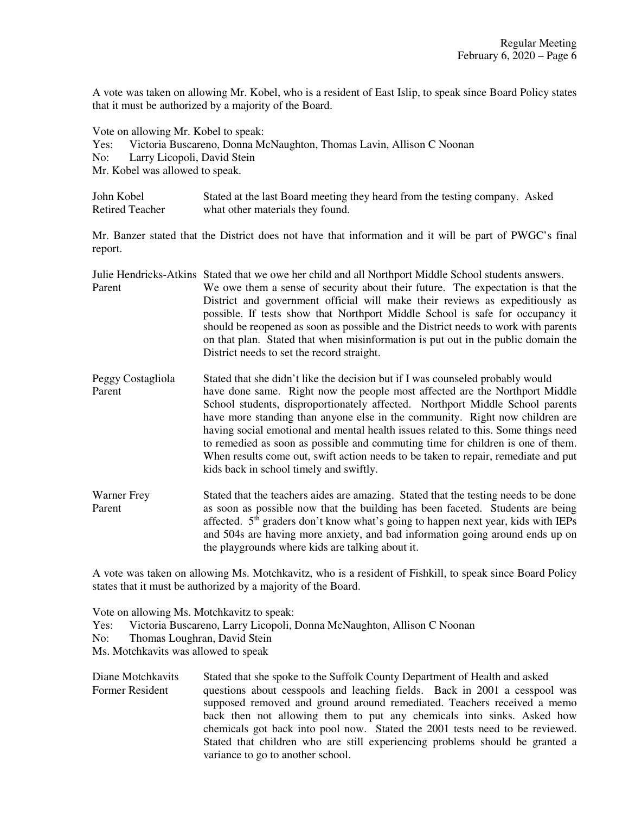A vote was taken on allowing Mr. Kobel, who is a resident of East Islip, to speak since Board Policy states that it must be authorized by a majority of the Board.

Vote on allowing Mr. Kobel to speak: Yes: Victoria Buscareno, Donna McNaughton, Thomas Lavin, Allison C Noonan No: Larry Licopoli, David Stein Mr. Kobel was allowed to speak.

John Kobel Stated at the last Board meeting they heard from the testing company. Asked Retired Teacher what other materials they found.

Mr. Banzer stated that the District does not have that information and it will be part of PWGC's final report.

Julie Hendricks-Atkins Stated that we owe her child and all Northport Middle School students answers. Parent We owe them a sense of security about their future. The expectation is that the District and government official will make their reviews as expeditiously as possible. If tests show that Northport Middle School is safe for occupancy it should be reopened as soon as possible and the District needs to work with parents on that plan. Stated that when misinformation is put out in the public domain the District needs to set the record straight.

- Peggy Costagliola Stated that she didn't like the decision but if I was counseled probably would Parent have done same. Right now the people most affected are the Northport Middle School students, disproportionately affected. Northport Middle School parents have more standing than anyone else in the community. Right now children are having social emotional and mental health issues related to this. Some things need to remedied as soon as possible and commuting time for children is one of them. When results come out, swift action needs to be taken to repair, remediate and put kids back in school timely and swiftly.
- Warner Frey Stated that the teachers aides are amazing. Stated that the testing needs to be done Parent as soon as possible now that the building has been faceted. Students are being affected.  $5<sup>th</sup>$  graders don't know what's going to happen next year, kids with IEPs and 504s are having more anxiety, and bad information going around ends up on the playgrounds where kids are talking about it.

A vote was taken on allowing Ms. Motchkavitz, who is a resident of Fishkill, to speak since Board Policy states that it must be authorized by a majority of the Board.

Vote on allowing Ms. Motchkavitz to speak: Yes: Victoria Buscareno, Larry Licopoli, Donna McNaughton, Allison C Noonan No: Thomas Loughran, David Stein Ms. Motchkavits was allowed to speak

Diane Motchkavits Stated that she spoke to the Suffolk County Department of Health and asked Former Resident questions about cesspools and leaching fields. Back in 2001 a cesspool was supposed removed and ground around remediated. Teachers received a memo back then not allowing them to put any chemicals into sinks. Asked how chemicals got back into pool now. Stated the 2001 tests need to be reviewed. Stated that children who are still experiencing problems should be granted a variance to go to another school.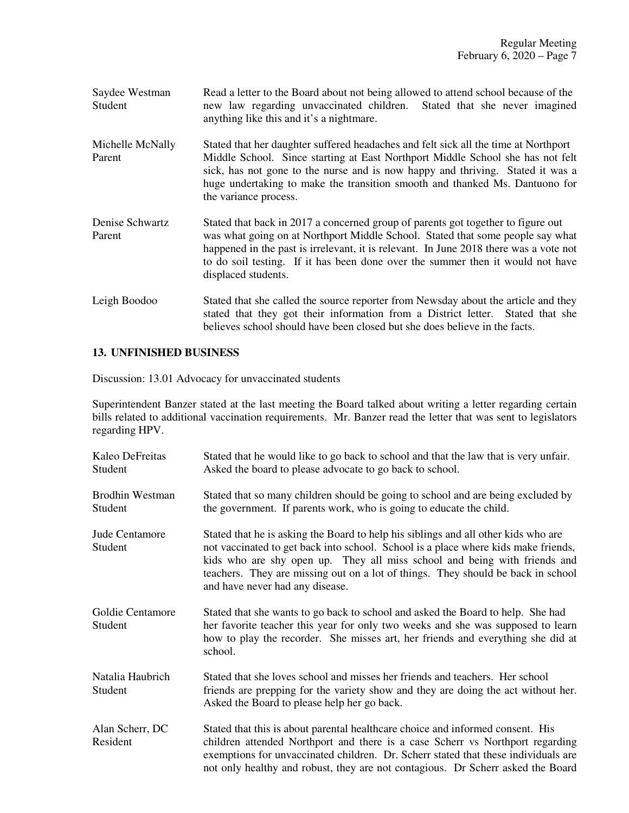| Saydee Westman | Read a letter to the Board about not being allowed to attend school because of the |
|----------------|------------------------------------------------------------------------------------|
| Student        | new law regarding unvaccinated children. Stated that she never imagined            |
|                | anything like this and it's a nightmare.                                           |
|                |                                                                                    |

- Michelle McNally Stated that her daughter suffered headaches and felt sick all the time at Northport Parent Middle School. Since starting at East Northport Middle School she has not felt sick, has not gone to the nurse and is now happy and thriving. Stated it was a huge undertaking to make the transition smooth and thanked Ms. Dantuono for the variance process.
- Denise Schwartz Stated that back in 2017 a concerned group of parents got together to figure out Parent was what going on at Northport Middle School. Stated that some people say what happened in the past is irrelevant, it is relevant. In June 2018 there was a vote not to do soil testing. If it has been done over the summer then it would not have displaced students.
- Leigh Boodoo Stated that she called the source reporter from Newsday about the article and they stated that they got their information from a District letter. Stated that she believes school should have been closed but she does believe in the facts.

# **13. UNFINISHED BUSINESS**

Discussion: 13.01 Advocacy for unvaccinated students

Superintendent Banzer stated at the last meeting the Board talked about writing a letter regarding certain bills related to additional vaccination requirements. Mr. Banzer read the letter that was sent to legislators regarding HPV.

| Kaleo DeFreitas<br>Student        | Stated that he would like to go back to school and that the law that is very unfair.<br>Asked the board to please advocate to go back to school.                                                                                                                                                                                                                             |
|-----------------------------------|------------------------------------------------------------------------------------------------------------------------------------------------------------------------------------------------------------------------------------------------------------------------------------------------------------------------------------------------------------------------------|
| <b>Brodhin Westman</b><br>Student | Stated that so many children should be going to school and are being excluded by<br>the government. If parents work, who is going to educate the child.                                                                                                                                                                                                                      |
| Jude Centamore<br>Student         | Stated that he is asking the Board to help his siblings and all other kids who are<br>not vaccinated to get back into school. School is a place where kids make friends,<br>kids who are shy open up. They all miss school and being with friends and<br>teachers. They are missing out on a lot of things. They should be back in school<br>and have never had any disease. |
| Goldie Centamore<br>Student       | Stated that she wants to go back to school and asked the Board to help. She had<br>her favorite teacher this year for only two weeks and she was supposed to learn<br>how to play the recorder. She misses art, her friends and everything she did at<br>school.                                                                                                             |
| Natalia Haubrich<br>Student       | Stated that she loves school and misses her friends and teachers. Her school<br>friends are prepping for the variety show and they are doing the act without her.<br>Asked the Board to please help her go back.                                                                                                                                                             |
| Alan Scherr, DC<br>Resident       | Stated that this is about parental healthcare choice and informed consent. His<br>children attended Northport and there is a case Scherr vs Northport regarding<br>exemptions for unvaccinated children. Dr. Scherr stated that these individuals are<br>not only healthy and robust, they are not contagious. Dr Scherr asked the Board                                     |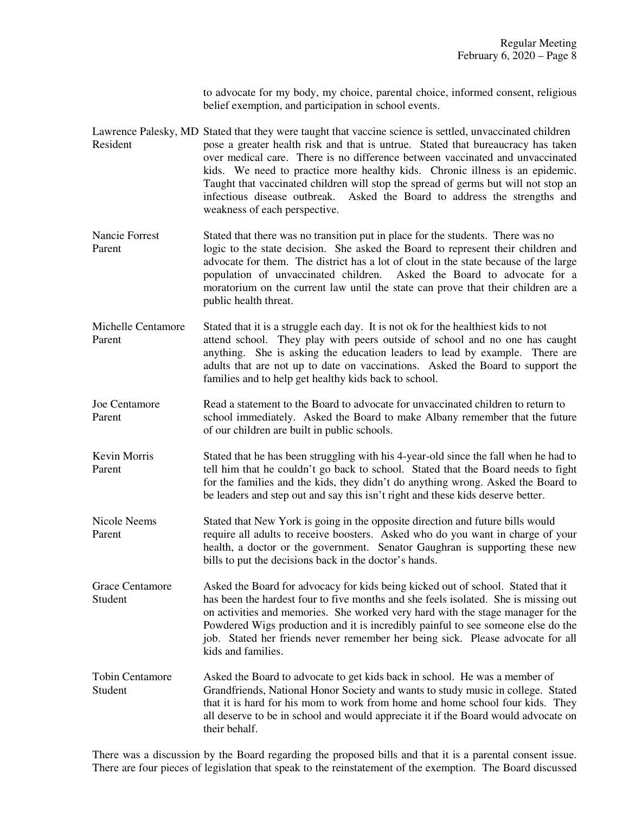to advocate for my body, my choice, parental choice, informed consent, religious belief exemption, and participation in school events.

- Lawrence Palesky, MD Stated that they were taught that vaccine science is settled, unvaccinated children Resident pose a greater health risk and that is untrue. Stated that bureaucracy has taken over medical care. There is no difference between vaccinated and unvaccinated kids. We need to practice more healthy kids. Chronic illness is an epidemic. Taught that vaccinated children will stop the spread of germs but will not stop an infectious disease outbreak. Asked the Board to address the strengths and weakness of each perspective.
- Nancie Forrest Stated that there was no transition put in place for the students. There was no Parent logic to the state decision. She asked the Board to represent their children and advocate for them. The district has a lot of clout in the state because of the large population of unvaccinated children. Asked the Board to advocate for a moratorium on the current law until the state can prove that their children are a public health threat.
- Michelle Centamore Stated that it is a struggle each day. It is not ok for the healthiest kids to not Parent attend school. They play with peers outside of school and no one has caught anything. She is asking the education leaders to lead by example. There are adults that are not up to date on vaccinations. Asked the Board to support the families and to help get healthy kids back to school.
- Joe Centamore Read a statement to the Board to advocate for unvaccinated children to return to Parent school immediately. Asked the Board to make Albany remember that the future of our children are built in public schools.
- Kevin Morris Stated that he has been struggling with his 4-year-old since the fall when he had to Parent tell him that he couldn't go back to school. Stated that the Board needs to fight for the families and the kids, they didn't do anything wrong. Asked the Board to be leaders and step out and say this isn't right and these kids deserve better.
- Nicole Neems Stated that New York is going in the opposite direction and future bills would Parent require all adults to receive boosters. Asked who do you want in charge of your health, a doctor or the government. Senator Gaughran is supporting these new bills to put the decisions back in the doctor's hands.
- Grace Centamore Asked the Board for advocacy for kids being kicked out of school. Stated that it Student has been the hardest four to five months and she feels isolated. She is missing out on activities and memories. She worked very hard with the stage manager for the Powdered Wigs production and it is incredibly painful to see someone else do the job. Stated her friends never remember her being sick. Please advocate for all kids and families.
- Tobin Centamore Asked the Board to advocate to get kids back in school. He was a member of Student Grandfriends, National Honor Society and wants to study music in college. Stated that it is hard for his mom to work from home and home school four kids. They all deserve to be in school and would appreciate it if the Board would advocate on their behalf.

There was a discussion by the Board regarding the proposed bills and that it is a parental consent issue. There are four pieces of legislation that speak to the reinstatement of the exemption. The Board discussed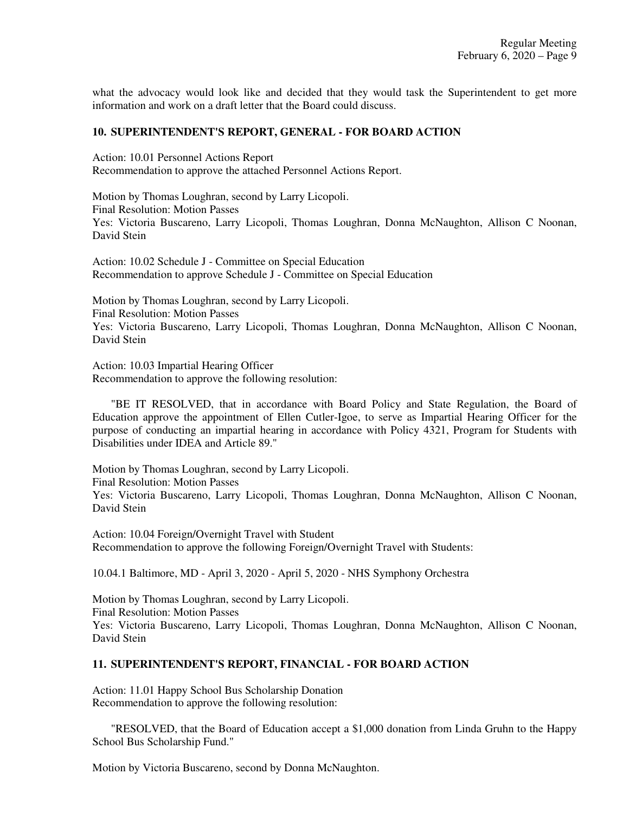what the advocacy would look like and decided that they would task the Superintendent to get more information and work on a draft letter that the Board could discuss.

## **10. SUPERINTENDENT'S REPORT, GENERAL - FOR BOARD ACTION**

Action: 10.01 Personnel Actions Report Recommendation to approve the attached Personnel Actions Report.

Motion by Thomas Loughran, second by Larry Licopoli. Final Resolution: Motion Passes Yes: Victoria Buscareno, Larry Licopoli, Thomas Loughran, Donna McNaughton, Allison C Noonan, David Stein

Action: 10.02 Schedule J - Committee on Special Education Recommendation to approve Schedule J - Committee on Special Education

Motion by Thomas Loughran, second by Larry Licopoli. Final Resolution: Motion Passes Yes: Victoria Buscareno, Larry Licopoli, Thomas Loughran, Donna McNaughton, Allison C Noonan, David Stein

Action: 10.03 Impartial Hearing Officer Recommendation to approve the following resolution:

"BE IT RESOLVED, that in accordance with Board Policy and State Regulation, the Board of Education approve the appointment of Ellen Cutler-Igoe, to serve as Impartial Hearing Officer for the purpose of conducting an impartial hearing in accordance with Policy 4321, Program for Students with Disabilities under IDEA and Article 89."

Motion by Thomas Loughran, second by Larry Licopoli.

Final Resolution: Motion Passes

Yes: Victoria Buscareno, Larry Licopoli, Thomas Loughran, Donna McNaughton, Allison C Noonan, David Stein

Action: 10.04 Foreign/Overnight Travel with Student Recommendation to approve the following Foreign/Overnight Travel with Students:

10.04.1 Baltimore, MD - April 3, 2020 - April 5, 2020 - NHS Symphony Orchestra

Motion by Thomas Loughran, second by Larry Licopoli. Final Resolution: Motion Passes Yes: Victoria Buscareno, Larry Licopoli, Thomas Loughran, Donna McNaughton, Allison C Noonan, David Stein

## **11. SUPERINTENDENT'S REPORT, FINANCIAL - FOR BOARD ACTION**

Action: 11.01 Happy School Bus Scholarship Donation Recommendation to approve the following resolution:

 "RESOLVED, that the Board of Education accept a \$1,000 donation from Linda Gruhn to the Happy School Bus Scholarship Fund."

Motion by Victoria Buscareno, second by Donna McNaughton.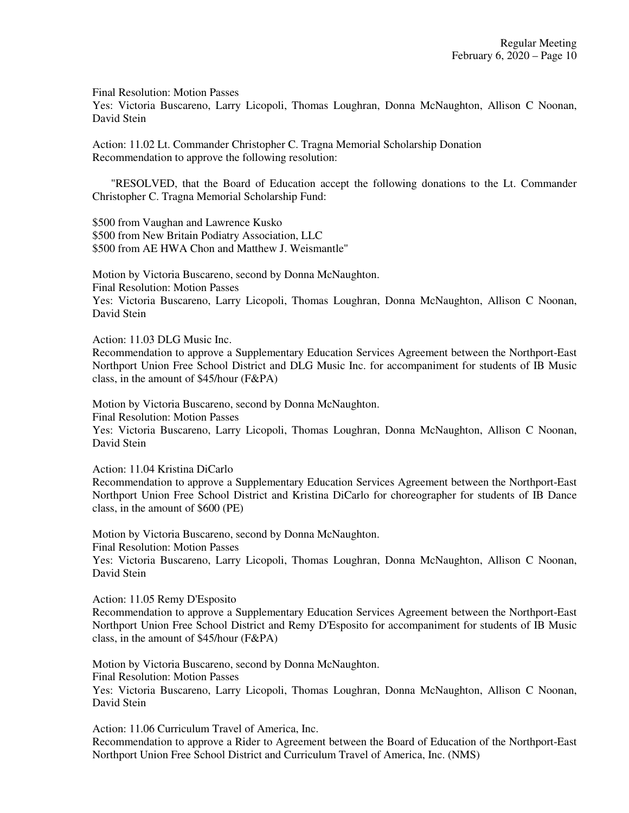Final Resolution: Motion Passes

Yes: Victoria Buscareno, Larry Licopoli, Thomas Loughran, Donna McNaughton, Allison C Noonan, David Stein

Action: 11.02 Lt. Commander Christopher C. Tragna Memorial Scholarship Donation Recommendation to approve the following resolution:

 "RESOLVED, that the Board of Education accept the following donations to the Lt. Commander Christopher C. Tragna Memorial Scholarship Fund:

\$500 from Vaughan and Lawrence Kusko \$500 from New Britain Podiatry Association, LLC \$500 from AE HWA Chon and Matthew J. Weismantle"

Motion by Victoria Buscareno, second by Donna McNaughton. Final Resolution: Motion Passes Yes: Victoria Buscareno, Larry Licopoli, Thomas Loughran, Donna McNaughton, Allison C Noonan, David Stein

Action: 11.03 DLG Music Inc.

Recommendation to approve a Supplementary Education Services Agreement between the Northport-East Northport Union Free School District and DLG Music Inc. for accompaniment for students of IB Music class, in the amount of \$45/hour (F&PA)

Motion by Victoria Buscareno, second by Donna McNaughton. Final Resolution: Motion Passes Yes: Victoria Buscareno, Larry Licopoli, Thomas Loughran, Donna McNaughton, Allison C Noonan, David Stein

Action: 11.04 Kristina DiCarlo

Recommendation to approve a Supplementary Education Services Agreement between the Northport-East Northport Union Free School District and Kristina DiCarlo for choreographer for students of IB Dance class, in the amount of \$600 (PE)

Motion by Victoria Buscareno, second by Donna McNaughton. Final Resolution: Motion Passes Yes: Victoria Buscareno, Larry Licopoli, Thomas Loughran, Donna McNaughton, Allison C Noonan, David Stein

Action: 11.05 Remy D'Esposito

Recommendation to approve a Supplementary Education Services Agreement between the Northport-East Northport Union Free School District and Remy D'Esposito for accompaniment for students of IB Music class, in the amount of \$45/hour (F&PA)

Motion by Victoria Buscareno, second by Donna McNaughton. Final Resolution: Motion Passes Yes: Victoria Buscareno, Larry Licopoli, Thomas Loughran, Donna McNaughton, Allison C Noonan, David Stein

Action: 11.06 Curriculum Travel of America, Inc.

Recommendation to approve a Rider to Agreement between the Board of Education of the Northport-East Northport Union Free School District and Curriculum Travel of America, Inc. (NMS)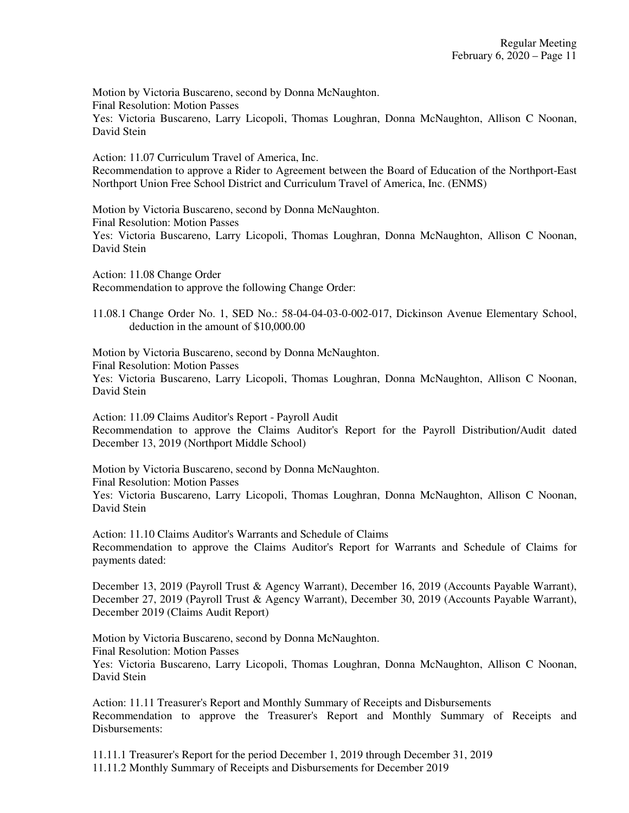Motion by Victoria Buscareno, second by Donna McNaughton. Final Resolution: Motion Passes Yes: Victoria Buscareno, Larry Licopoli, Thomas Loughran, Donna McNaughton, Allison C Noonan, David Stein

Action: 11.07 Curriculum Travel of America, Inc. Recommendation to approve a Rider to Agreement between the Board of Education of the Northport-East Northport Union Free School District and Curriculum Travel of America, Inc. (ENMS)

Motion by Victoria Buscareno, second by Donna McNaughton. Final Resolution: Motion Passes Yes: Victoria Buscareno, Larry Licopoli, Thomas Loughran, Donna McNaughton, Allison C Noonan, David Stein

Action: 11.08 Change Order Recommendation to approve the following Change Order:

11.08.1 Change Order No. 1, SED No.: 58-04-04-03-0-002-017, Dickinson Avenue Elementary School, deduction in the amount of \$10,000.00

Motion by Victoria Buscareno, second by Donna McNaughton. Final Resolution: Motion Passes Yes: Victoria Buscareno, Larry Licopoli, Thomas Loughran, Donna McNaughton, Allison C Noonan, David Stein

Action: 11.09 Claims Auditor's Report - Payroll Audit Recommendation to approve the Claims Auditor's Report for the Payroll Distribution/Audit dated December 13, 2019 (Northport Middle School)

Motion by Victoria Buscareno, second by Donna McNaughton. Final Resolution: Motion Passes Yes: Victoria Buscareno, Larry Licopoli, Thomas Loughran, Donna McNaughton, Allison C Noonan, David Stein

Action: 11.10 Claims Auditor's Warrants and Schedule of Claims Recommendation to approve the Claims Auditor's Report for Warrants and Schedule of Claims for payments dated:

December 13, 2019 (Payroll Trust & Agency Warrant), December 16, 2019 (Accounts Payable Warrant), December 27, 2019 (Payroll Trust & Agency Warrant), December 30, 2019 (Accounts Payable Warrant), December 2019 (Claims Audit Report)

Motion by Victoria Buscareno, second by Donna McNaughton. Final Resolution: Motion Passes Yes: Victoria Buscareno, Larry Licopoli, Thomas Loughran, Donna McNaughton, Allison C Noonan, David Stein

Action: 11.11 Treasurer's Report and Monthly Summary of Receipts and Disbursements Recommendation to approve the Treasurer's Report and Monthly Summary of Receipts and Disbursements:

11.11.1 Treasurer's Report for the period December 1, 2019 through December 31, 2019 11.11.2 Monthly Summary of Receipts and Disbursements for December 2019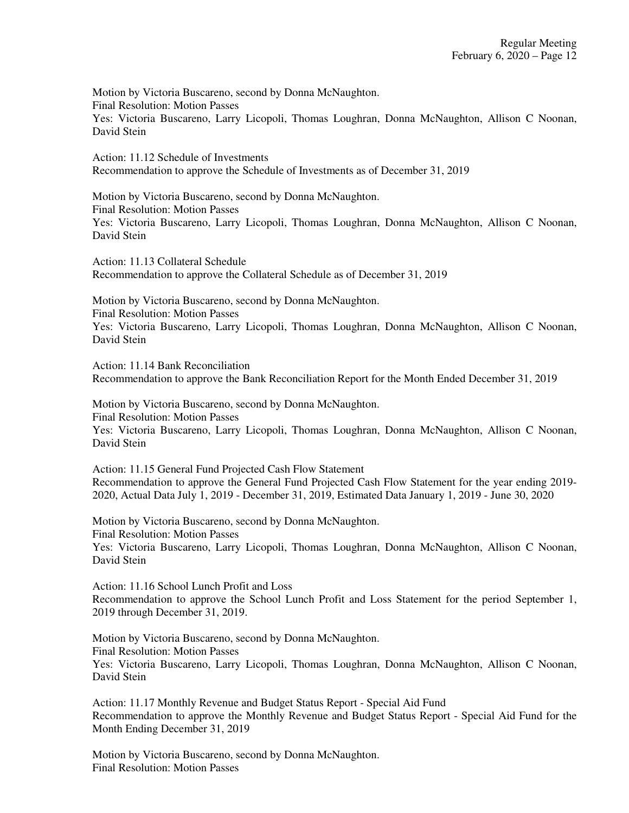Motion by Victoria Buscareno, second by Donna McNaughton. Final Resolution: Motion Passes Yes: Victoria Buscareno, Larry Licopoli, Thomas Loughran, Donna McNaughton, Allison C Noonan, David Stein

Action: 11.12 Schedule of Investments Recommendation to approve the Schedule of Investments as of December 31, 2019

Motion by Victoria Buscareno, second by Donna McNaughton. Final Resolution: Motion Passes Yes: Victoria Buscareno, Larry Licopoli, Thomas Loughran, Donna McNaughton, Allison C Noonan, David Stein

Action: 11.13 Collateral Schedule Recommendation to approve the Collateral Schedule as of December 31, 2019

Motion by Victoria Buscareno, second by Donna McNaughton. Final Resolution: Motion Passes Yes: Victoria Buscareno, Larry Licopoli, Thomas Loughran, Donna McNaughton, Allison C Noonan, David Stein

Action: 11.14 Bank Reconciliation Recommendation to approve the Bank Reconciliation Report for the Month Ended December 31, 2019

Motion by Victoria Buscareno, second by Donna McNaughton. Final Resolution: Motion Passes Yes: Victoria Buscareno, Larry Licopoli, Thomas Loughran, Donna McNaughton, Allison C Noonan, David Stein

Action: 11.15 General Fund Projected Cash Flow Statement Recommendation to approve the General Fund Projected Cash Flow Statement for the year ending 2019- 2020, Actual Data July 1, 2019 - December 31, 2019, Estimated Data January 1, 2019 - June 30, 2020

Motion by Victoria Buscareno, second by Donna McNaughton. Final Resolution: Motion Passes Yes: Victoria Buscareno, Larry Licopoli, Thomas Loughran, Donna McNaughton, Allison C Noonan, David Stein

Action: 11.16 School Lunch Profit and Loss Recommendation to approve the School Lunch Profit and Loss Statement for the period September 1, 2019 through December 31, 2019.

Motion by Victoria Buscareno, second by Donna McNaughton. Final Resolution: Motion Passes Yes: Victoria Buscareno, Larry Licopoli, Thomas Loughran, Donna McNaughton, Allison C Noonan, David Stein

Action: 11.17 Monthly Revenue and Budget Status Report - Special Aid Fund Recommendation to approve the Monthly Revenue and Budget Status Report - Special Aid Fund for the Month Ending December 31, 2019

Motion by Victoria Buscareno, second by Donna McNaughton. Final Resolution: Motion Passes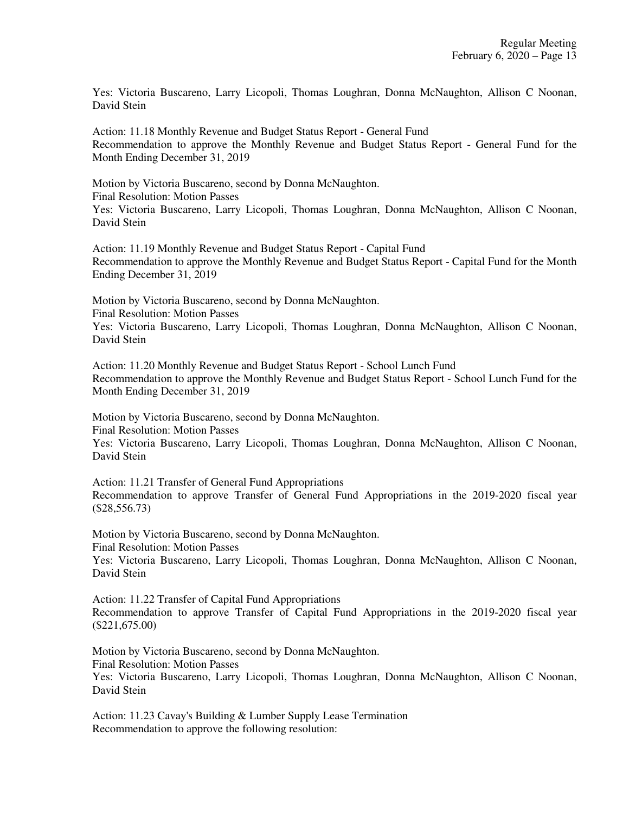Yes: Victoria Buscareno, Larry Licopoli, Thomas Loughran, Donna McNaughton, Allison C Noonan, David Stein

Action: 11.18 Monthly Revenue and Budget Status Report - General Fund Recommendation to approve the Monthly Revenue and Budget Status Report - General Fund for the Month Ending December 31, 2019

Motion by Victoria Buscareno, second by Donna McNaughton. Final Resolution: Motion Passes Yes: Victoria Buscareno, Larry Licopoli, Thomas Loughran, Donna McNaughton, Allison C Noonan, David Stein

Action: 11.19 Monthly Revenue and Budget Status Report - Capital Fund Recommendation to approve the Monthly Revenue and Budget Status Report - Capital Fund for the Month Ending December 31, 2019

Motion by Victoria Buscareno, second by Donna McNaughton. Final Resolution: Motion Passes Yes: Victoria Buscareno, Larry Licopoli, Thomas Loughran, Donna McNaughton, Allison C Noonan, David Stein

Action: 11.20 Monthly Revenue and Budget Status Report - School Lunch Fund Recommendation to approve the Monthly Revenue and Budget Status Report - School Lunch Fund for the Month Ending December 31, 2019

Motion by Victoria Buscareno, second by Donna McNaughton. Final Resolution: Motion Passes

Yes: Victoria Buscareno, Larry Licopoli, Thomas Loughran, Donna McNaughton, Allison C Noonan, David Stein

Action: 11.21 Transfer of General Fund Appropriations Recommendation to approve Transfer of General Fund Appropriations in the 2019-2020 fiscal year (\$28,556.73)

Motion by Victoria Buscareno, second by Donna McNaughton. Final Resolution: Motion Passes

Yes: Victoria Buscareno, Larry Licopoli, Thomas Loughran, Donna McNaughton, Allison C Noonan, David Stein

Action: 11.22 Transfer of Capital Fund Appropriations Recommendation to approve Transfer of Capital Fund Appropriations in the 2019-2020 fiscal year (\$221,675.00)

Motion by Victoria Buscareno, second by Donna McNaughton. Final Resolution: Motion Passes Yes: Victoria Buscareno, Larry Licopoli, Thomas Loughran, Donna McNaughton, Allison C Noonan, David Stein

Action: 11.23 Cavay's Building & Lumber Supply Lease Termination Recommendation to approve the following resolution: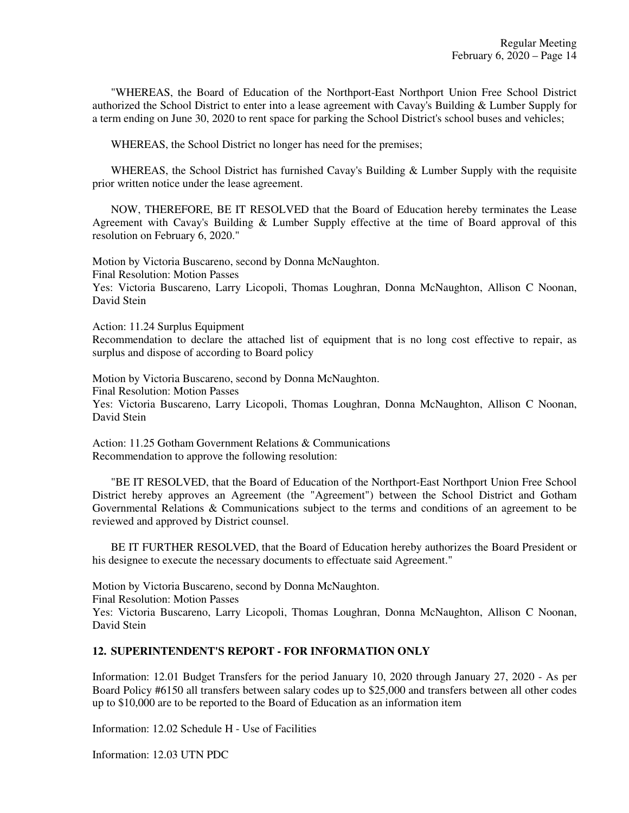"WHEREAS, the Board of Education of the Northport-East Northport Union Free School District authorized the School District to enter into a lease agreement with Cavay's Building & Lumber Supply for a term ending on June 30, 2020 to rent space for parking the School District's school buses and vehicles;

WHEREAS, the School District no longer has need for the premises;

WHEREAS, the School District has furnished Cavay's Building & Lumber Supply with the requisite prior written notice under the lease agreement.

NOW, THEREFORE, BE IT RESOLVED that the Board of Education hereby terminates the Lease Agreement with Cavay's Building & Lumber Supply effective at the time of Board approval of this resolution on February 6, 2020."

Motion by Victoria Buscareno, second by Donna McNaughton.

Final Resolution: Motion Passes

Yes: Victoria Buscareno, Larry Licopoli, Thomas Loughran, Donna McNaughton, Allison C Noonan, David Stein

Action: 11.24 Surplus Equipment

Recommendation to declare the attached list of equipment that is no long cost effective to repair, as surplus and dispose of according to Board policy

Motion by Victoria Buscareno, second by Donna McNaughton. Final Resolution: Motion Passes Yes: Victoria Buscareno, Larry Licopoli, Thomas Loughran, Donna McNaughton, Allison C Noonan, David Stein

Action: 11.25 Gotham Government Relations & Communications Recommendation to approve the following resolution:

"BE IT RESOLVED, that the Board of Education of the Northport-East Northport Union Free School District hereby approves an Agreement (the "Agreement") between the School District and Gotham Governmental Relations & Communications subject to the terms and conditions of an agreement to be reviewed and approved by District counsel.

BE IT FURTHER RESOLVED, that the Board of Education hereby authorizes the Board President or his designee to execute the necessary documents to effectuate said Agreement."

Motion by Victoria Buscareno, second by Donna McNaughton.

Final Resolution: Motion Passes

Yes: Victoria Buscareno, Larry Licopoli, Thomas Loughran, Donna McNaughton, Allison C Noonan, David Stein

### **12. SUPERINTENDENT'S REPORT - FOR INFORMATION ONLY**

Information: 12.01 Budget Transfers for the period January 10, 2020 through January 27, 2020 - As per Board Policy #6150 all transfers between salary codes up to \$25,000 and transfers between all other codes up to \$10,000 are to be reported to the Board of Education as an information item

Information: 12.02 Schedule H - Use of Facilities

Information: 12.03 UTN PDC